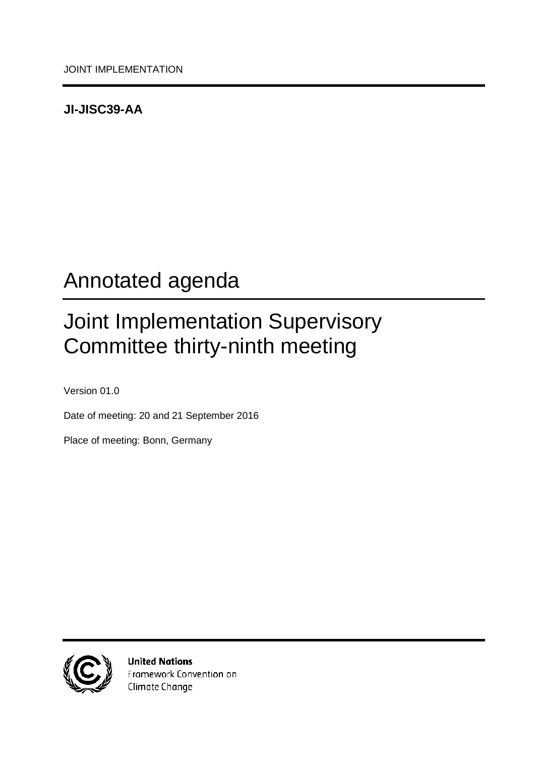## <span id="page-0-0"></span>**JI-JISC39-AA**

# <span id="page-0-1"></span>Annotated agenda

# <span id="page-0-2"></span>Joint Implementation Supervisory Committee thirty-ninth meeting

<span id="page-0-3"></span>Version 01.0

Date of meeting: 20 and 21 September 2016

Place of meeting: Bonn, Germany



**United Nations** Framework Convention on Climate Change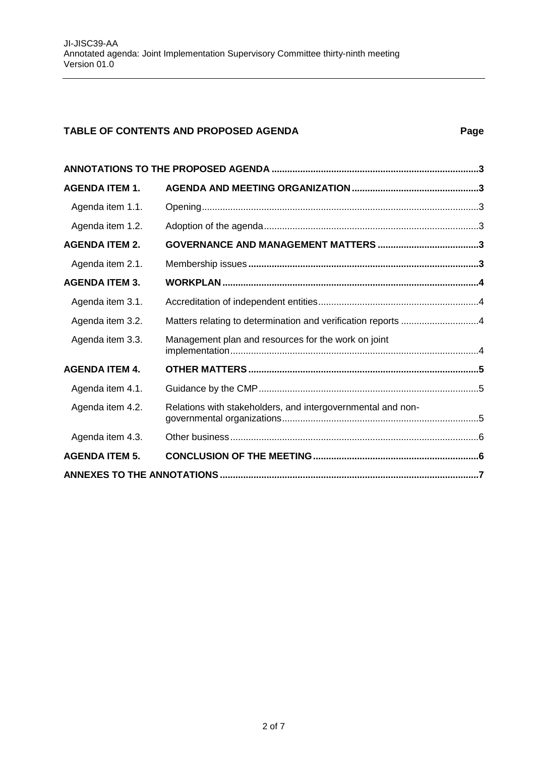### **TABLE OF CONTENTS AND PROPOSED AGENDA Page**

| <b>AGENDA ITEM 1.</b> |                                                             |  |  |
|-----------------------|-------------------------------------------------------------|--|--|
| Agenda item 1.1.      |                                                             |  |  |
| Agenda item 1.2.      |                                                             |  |  |
| <b>AGENDA ITEM 2.</b> |                                                             |  |  |
| Agenda item 2.1.      |                                                             |  |  |
| <b>AGENDA ITEM 3.</b> |                                                             |  |  |
| Agenda item 3.1.      |                                                             |  |  |
| Agenda item 3.2.      |                                                             |  |  |
| Agenda item 3.3.      | Management plan and resources for the work on joint         |  |  |
| <b>AGENDA ITEM 4.</b> |                                                             |  |  |
| Agenda item 4.1.      |                                                             |  |  |
| Agenda item 4.2.      | Relations with stakeholders, and intergovernmental and non- |  |  |
| Agenda item 4.3.      |                                                             |  |  |
| <b>AGENDA ITEM 5.</b> |                                                             |  |  |
|                       |                                                             |  |  |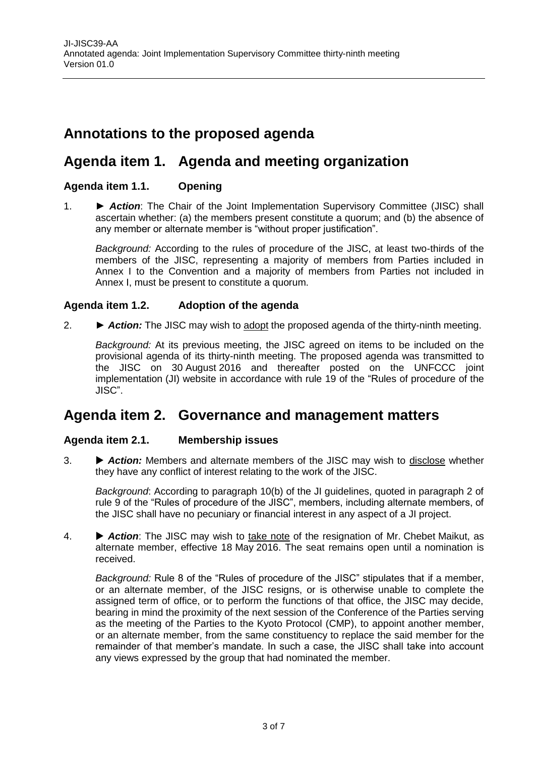## <span id="page-2-0"></span>**Annotations to the proposed agenda**

## <span id="page-2-1"></span>**Agenda item 1. Agenda and meeting organization**

#### <span id="page-2-2"></span>**Agenda item 1.1. Opening**

1. ► *Action*: The Chair of the Joint Implementation Supervisory Committee (JISC) shall ascertain whether: (a) the members present constitute a quorum; and (b) the absence of any member or alternate member is "without proper justification".

*Background:* According to the rules of procedure of the JISC, at least two-thirds of the members of the JISC, representing a majority of members from Parties included in Annex I to the Convention and a majority of members from Parties not included in Annex I, must be present to constitute a quorum.

#### <span id="page-2-3"></span>**Agenda item 1.2. Adoption of the agenda**

2. ► *Action:* The JISC may wish to adopt the proposed agenda of the thirty-ninth meeting.

*Background:* At its previous meeting, the JISC agreed on items to be included on the provisional agenda of its thirty-ninth meeting. The proposed agenda was transmitted to the JISC on 30 August 2016 and thereafter posted on the UNFCCC joint implementation (JI) website in accordance with rule 19 of the "Rules of procedure of the JISC".

### <span id="page-2-4"></span>**Agenda item 2. Governance and management matters**

#### <span id="page-2-5"></span>**Agenda item 2.1. Membership issues**

3. *Action:* Members and alternate members of the JISC may wish to disclose whether they have any conflict of interest relating to the work of the JISC.

*Background*: According to paragraph 10(b) of the JI guidelines, quoted in paragraph 2 of rule 9 of the "Rules of procedure of the JISC", members, including alternate members, of the JISC shall have no pecuniary or financial interest in any aspect of a JI project.

4. *Action*: The JISC may wish to take note of the resignation of Mr. Chebet Maikut, as alternate member, effective 18 May 2016. The seat remains open until a nomination is received.

*Background:* Rule 8 of the "Rules of procedure of the JISC" stipulates that if a member, or an alternate member, of the JISC resigns, or is otherwise unable to complete the assigned term of office, or to perform the functions of that office, the JISC may decide, bearing in mind the proximity of the next session of the Conference of the Parties serving as the meeting of the Parties to the Kyoto Protocol (CMP), to appoint another member, or an alternate member, from the same constituency to replace the said member for the remainder of that member's mandate. In such a case, the JISC shall take into account any views expressed by the group that had nominated the member.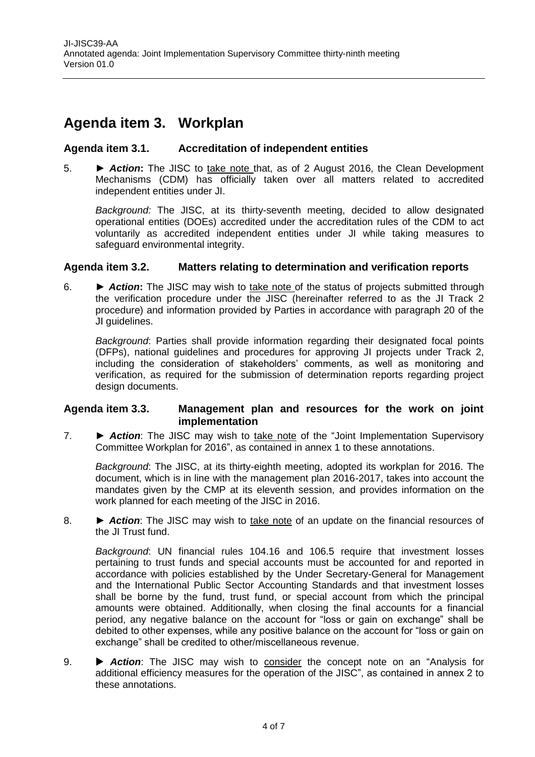## <span id="page-3-0"></span>**Agenda item 3. Workplan**

#### <span id="page-3-1"></span>**Agenda item 3.1. Accreditation of independent entities**

5. **►** *Action***:** The JISC to take note that, as of 2 August 2016, the Clean Development Mechanisms (CDM) has officially taken over all matters related to accredited independent entities under JI.

*Background:* The JISC, at its thirty-seventh meeting, decided to allow designated operational entities (DOEs) accredited under the accreditation rules of the CDM to act voluntarily as accredited independent entities under JI while taking measures to safeguard environmental integrity.

#### <span id="page-3-2"></span>**Agenda item 3.2. Matters relating to determination and verification reports**

6. **►** *Action***:** The JISC may wish to take note of the status of projects submitted through the verification procedure under the JISC (hereinafter referred to as the JI Track 2 procedure) and information provided by Parties in accordance with paragraph 20 of the JI guidelines.

*Background*: Parties shall provide information regarding their designated focal points (DFPs), national guidelines and procedures for approving JI projects under Track 2, including the consideration of stakeholders' comments, as well as monitoring and verification, as required for the submission of determination reports regarding project design documents.

#### <span id="page-3-3"></span>**Agenda item 3.3. Management plan and resources for the work on joint implementation**

7. ► **► Action**: The JISC may wish to take note of the "Joint Implementation Supervisory Committee Workplan for 2016", as contained in annex 1 to these annotations.

*Background*: The JISC, at its thirty-eighth meeting, adopted its workplan for 2016. The document, which is in line with the management plan 2016-2017, takes into account the mandates given by the CMP at its eleventh session, and provides information on the work planned for each meeting of the JISC in 2016.

8. ► **Action:** The JISC may wish to take note of an update on the financial resources of the JI Trust fund.

*Background*: UN financial rules 104.16 and 106.5 require that investment losses pertaining to trust funds and special accounts must be accounted for and reported in accordance with policies established by the Under Secretary-General for Management and the International Public Sector Accounting Standards and that investment losses shall be borne by the fund, trust fund, or special account from which the principal amounts were obtained. Additionally, when closing the final accounts for a financial period, any negative balance on the account for "loss or gain on exchange" shall be debited to other expenses, while any positive balance on the account for "loss or gain on exchange" shall be credited to other/miscellaneous revenue.

9. **• Action:** The JISC may wish to consider the concept note on an "Analysis for additional efficiency measures for the operation of the JISC", as contained in annex 2 to these annotations.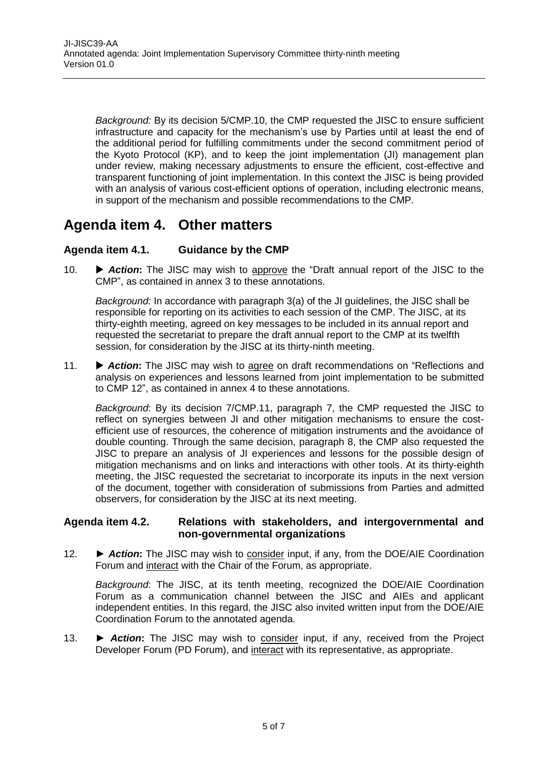*Background:* By its decision 5/CMP.10, the CMP requested the JISC to ensure sufficient infrastructure and capacity for the mechanism's use by Parties until at least the end of the additional period for fulfilling commitments under the second commitment period of the Kyoto Protocol (KP), and to keep the joint implementation (JI) management plan under review, making necessary adjustments to ensure the efficient, cost-effective and transparent functioning of joint implementation. In this context the JISC is being provided with an analysis of various cost-efficient options of operation, including electronic means, in support of the mechanism and possible recommendations to the CMP.

## <span id="page-4-0"></span>**Agenda item 4. Other matters**

#### <span id="page-4-1"></span>**Agenda item 4.1. Guidance by the CMP**

10. *Action***:** The JISC may wish to approve the "Draft annual report of the JISC to the CMP", as contained in annex 3 to these annotations.

*Background:* In accordance with paragraph 3(a) of the JI guidelines, the JISC shall be responsible for reporting on its activities to each session of the CMP. The JISC, at its thirty-eighth meeting, agreed on key messages to be included in its annual report and requested the secretariat to prepare the draft annual report to the CMP at its twelfth session, for consideration by the JISC at its thirty-ninth meeting.

11. • **Action:** The JISC may wish to agree on draft recommendations on "Reflections and analysis on experiences and lessons learned from joint implementation to be submitted to CMP 12", as contained in annex 4 to these annotations.

*Background*: By its decision 7/CMP.11, paragraph 7, the CMP requested the JISC to reflect on synergies between JI and other mitigation mechanisms to ensure the costefficient use of resources, the coherence of mitigation instruments and the avoidance of double counting. Through the same decision, paragraph 8, the CMP also requested the JISC to prepare an analysis of JI experiences and lessons for the possible design of mitigation mechanisms and on links and interactions with other tools. At its thirty-eighth meeting, the JISC requested the secretariat to incorporate its inputs in the next version of the document, together with consideration of submissions from Parties and admitted observers, for consideration by the JISC at its next meeting.

#### <span id="page-4-2"></span>**Agenda item 4.2. Relations with stakeholders, and intergovernmental and non-governmental organizations**

12. **►** *Action***:** The JISC may wish to consider input, if any, from the DOE/AIE Coordination Forum and interact with the Chair of the Forum, as appropriate.

*Background*: The JISC, at its tenth meeting, recognized the DOE/AIE Coordination Forum as a communication channel between the JISC and AIEs and applicant independent entities. In this regard, the JISC also invited written input from the DOE/AIE Coordination Forum to the annotated agenda.

13. **►** *Action***:** The JISC may wish to consider input, if any, received from the Project Developer Forum (PD Forum), and interact with its representative, as appropriate.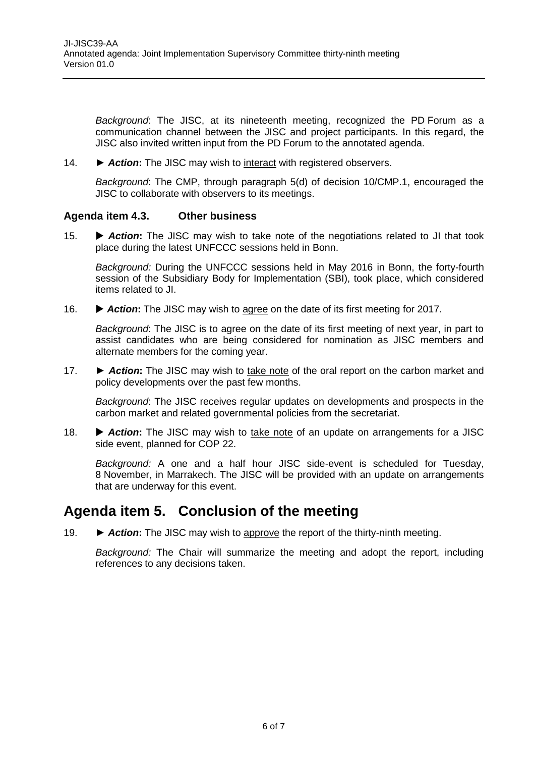*Background*: The JISC, at its nineteenth meeting, recognized the PD Forum as a communication channel between the JISC and project participants. In this regard, the JISC also invited written input from the PD Forum to the annotated agenda.

14. **►** *Action***:** The JISC may wish to interact with registered observers.

*Background*: The CMP, through paragraph 5(d) of decision 10/CMP.1, encouraged the JISC to collaborate with observers to its meetings.

#### <span id="page-5-0"></span>**Agenda item 4.3. Other business**

15. *Action***:** The JISC may wish to take note of the negotiations related to JI that took place during the latest UNFCCC sessions held in Bonn.

*Background:* During the UNFCCC sessions held in May 2016 in Bonn, the forty-fourth session of the Subsidiary Body for Implementation (SBI), took place, which considered items related to JI.

16.  $\blacktriangleright$  **Action:** The JISC may wish to agree on the date of its first meeting for 2017.

*Background*: The JISC is to agree on the date of its first meeting of next year, in part to assist candidates who are being considered for nomination as JISC members and alternate members for the coming year.

17. *► Action***:** The JISC may wish to take note of the oral report on the carbon market and policy developments over the past few months.

*Background*: The JISC receives regular updates on developments and prospects in the carbon market and related governmental policies from the secretariat.

18. • **Action:** The JISC may wish to take note of an update on arrangements for a JISC side event, planned for COP 22.

*Background:* A one and a half hour JISC side-event is scheduled for Tuesday, 8 November, in Marrakech. The JISC will be provided with an update on arrangements that are underway for this event.

## <span id="page-5-1"></span>**Agenda item 5. Conclusion of the meeting**

19. ► *Action***:** The JISC may wish to approve the report of the thirty-ninth meeting.

*Background:* The Chair will summarize the meeting and adopt the report, including references to any decisions taken.